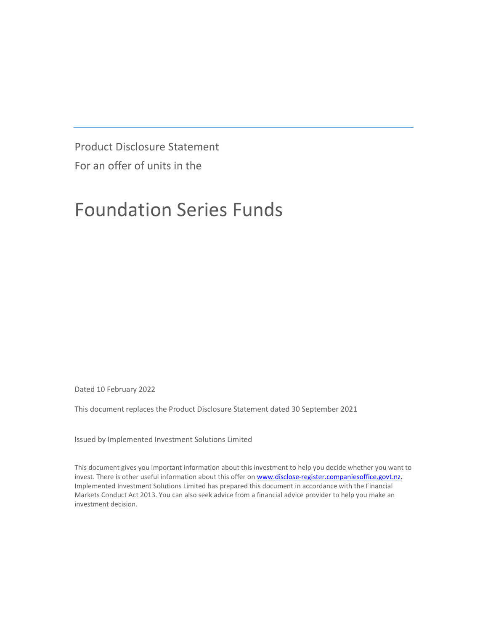Product Disclosure Statement For an offer of units in the

# Foundation Series Funds

Dated 10 February 2022

This document replaces the Product Disclosure Statement dated 30 September 2021

Issued by Implemented Investment Solutions Limited

This document gives you important information about this investment to help you decide whether you want to invest. There is other useful information about this offer on www.disclose-register.companiesoffice.govt.nz. Implemented Investment Solutions Limited has prepared this document in accordance with the Financial Markets Conduct Act 2013. You can also seek advice from a financial advice provider to help you make an investment decision.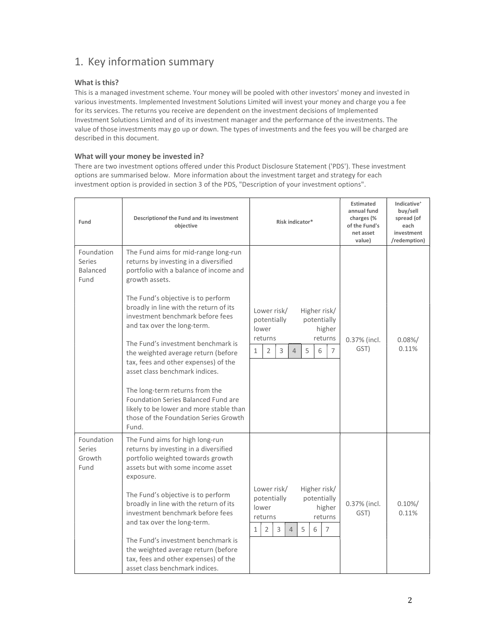## 1. Key information summary

#### What is this?

This is a managed investment scheme. Your money will be pooled with other investors' money and invested in various investments. Implemented Investment Solutions Limited will invest your money and charge you a fee for its services. The returns you receive are dependent on the investment decisions of Implemented Investment Solutions Limited and of its investment manager and the performance of the investments. The value of those investments may go up or down. The types of investments and the fees you will be charged are described in this document.

#### What will your money be invested in?

There are two investment options offered under this Product Disclosure Statement ('PDS'). These investment options are summarised below. More information about the investment target and strategy for each investment option is provided in section 3 of the PDS, "Description of your investment options".

| Fund                                            | Descriptionof the Fund and its investment<br>objective                                                                                                                    | Risk indicator*                                                                                                                                                                         | <b>Estimated</b><br>annual fund<br>charges (%<br>of the Fund's<br>net asset<br>value) | Indicative <sup>+</sup><br>buy/sell<br>spread (of<br>each<br>investment<br>/redemption) |
|-------------------------------------------------|---------------------------------------------------------------------------------------------------------------------------------------------------------------------------|-----------------------------------------------------------------------------------------------------------------------------------------------------------------------------------------|---------------------------------------------------------------------------------------|-----------------------------------------------------------------------------------------|
| Foundation<br>Series<br><b>Balanced</b><br>Fund | The Fund aims for mid-range long-run<br>returns by investing in a diversified<br>portfolio with a balance of income and<br>growth assets.                                 |                                                                                                                                                                                         |                                                                                       |                                                                                         |
|                                                 | The Fund's objective is to perform<br>broadly in line with the return of its<br>investment benchmark before fees<br>and tax over the long-term.                           | Lower risk/<br>Higher risk/<br>potentially<br>potentially<br>lower<br>higher<br>returns<br>returns                                                                                      | 0.37% (incl.                                                                          | $0.08\%/$                                                                               |
|                                                 | The Fund's investment benchmark is<br>the weighted average return (before<br>tax, fees and other expenses) of the<br>asset class benchmark indices.                       | 5<br>$\overline{2}$<br>3<br>6<br>$\overline{7}$<br>$\mathbf{1}$<br>$\overline{4}$                                                                                                       | GST)                                                                                  | 0.11%                                                                                   |
|                                                 | The long-term returns from the<br><b>Foundation Series Balanced Fund are</b><br>likely to be lower and more stable than<br>those of the Foundation Series Growth<br>Fund. |                                                                                                                                                                                         |                                                                                       |                                                                                         |
| Foundation<br>Series<br>Growth<br>Fund          | The Fund aims for high long-run<br>returns by investing in a diversified<br>portfolio weighted towards growth<br>assets but with some income asset<br>exposure.           |                                                                                                                                                                                         |                                                                                       |                                                                                         |
|                                                 | The Fund's objective is to perform<br>broadly in line with the return of its<br>investment benchmark before fees<br>and tax over the long-term.                           | Lower risk/<br>Higher risk/<br>potentially<br>potentially<br>lower<br>higher<br>returns<br>returns<br>$\overline{2}$<br>$\mathbf{1}$<br>3<br>5<br>6<br>$\overline{7}$<br>$\overline{4}$ | 0.37% (incl.<br>GST)                                                                  | $0.10\%/$<br>0.11%                                                                      |
|                                                 | The Fund's investment benchmark is<br>the weighted average return (before<br>tax, fees and other expenses) of the<br>asset class benchmark indices.                       |                                                                                                                                                                                         |                                                                                       |                                                                                         |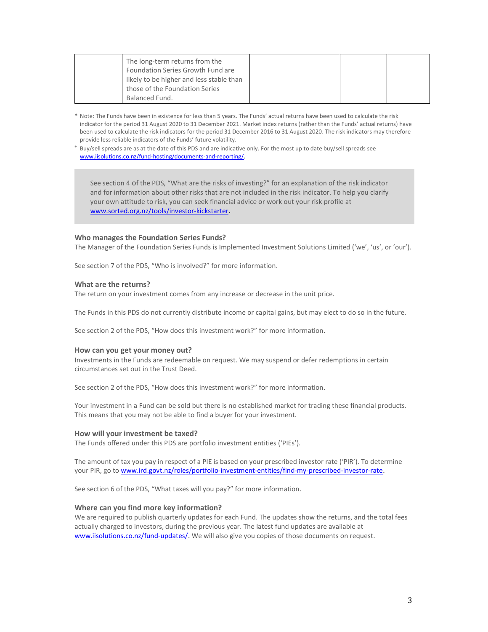|  |  | The long-term returns from the<br>Foundation Series Growth Fund are<br>likely to be higher and less stable than<br>those of the Foundation Series |
|--|--|---------------------------------------------------------------------------------------------------------------------------------------------------|
|--|--|---------------------------------------------------------------------------------------------------------------------------------------------------|

- \* Note: The Funds have been in existence for less than 5 years. The Funds' actual returns have been used to calculate the risk indicator for the period 31 August 2020 to 31 December 2021. Market index returns (rather than the Funds' actual returns) have been used to calculate the risk indicators for the period 31 December 2016 to 31 August 2020. The risk indicators may therefore provide less reliable indicators of the Funds' future volatility.
- + Buy/sell spreads are as at the date of this PDS and are indicative only. For the most up to date buy/sell spreads see www.iisolutions.co.nz/fund-hosting/documents-and-reporting/.

See section 4 of the PDS, "What are the risks of investing?" for an explanation of the risk indicator and for information about other risks that are not included in the risk indicator. To help you clarify your own attitude to risk, you can seek financial advice or work out your risk profile at www.sorted.org.nz/tools/investor-kickstarter.

#### Who manages the Foundation Series Funds?

The Manager of the Foundation Series Funds is Implemented Investment Solutions Limited ('we', 'us', or 'our').

See section 7 of the PDS, "Who is involved?" for more information.

#### What are the returns?

The return on your investment comes from any increase or decrease in the unit price.

The Funds in this PDS do not currently distribute income or capital gains, but may elect to do so in the future.

See section 2 of the PDS, "How does this investment work?" for more information.

#### How can you get your money out?

Investments in the Funds are redeemable on request. We may suspend or defer redemptions in certain circumstances set out in the Trust Deed.

See section 2 of the PDS, "How does this investment work?" for more information.

Your investment in a Fund can be sold but there is no established market for trading these financial products. This means that you may not be able to find a buyer for your investment.

#### How will your investment be taxed?

The Funds offered under this PDS are portfolio investment entities ('PIEs').

The amount of tax you pay in respect of a PIE is based on your prescribed investor rate ('PIR'). To determine your PIR, go to www.ird.govt.nz/roles/portfolio-investment-entities/find-my-prescribed-investor-rate.

See section 6 of the PDS, "What taxes will you pay?" for more information.

#### Where can you find more key information?

We are required to publish quarterly updates for each Fund. The updates show the returns, and the total fees actually charged to investors, during the previous year. The latest fund updates are available at www.iisolutions.co.nz/fund-updates/. We will also give you copies of those documents on request.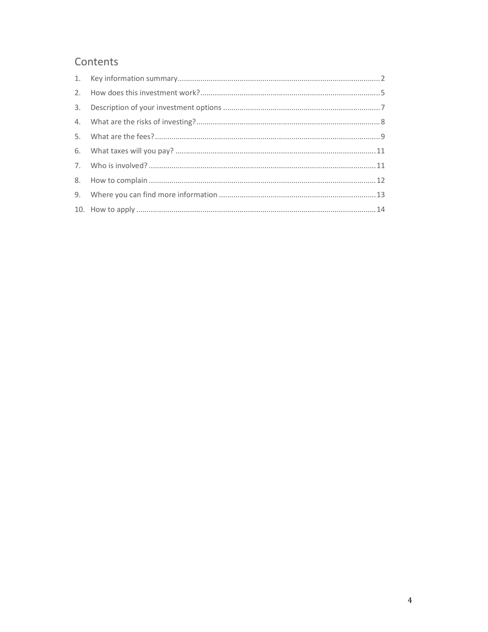## Contents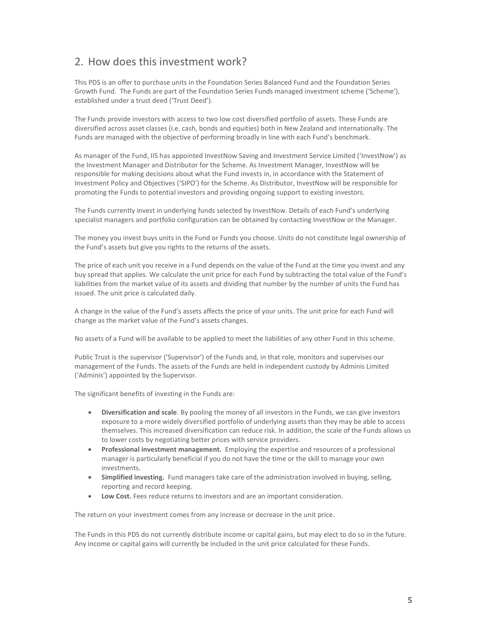### 2. How does this investment work?

This PDS is an offer to purchase units in the Foundation Series Balanced Fund and the Foundation Series Growth Fund. The Funds are part of the Foundation Series Funds managed investment scheme ('Scheme'), established under a trust deed ('Trust Deed').

The Funds provide investors with access to two low cost diversified portfolio of assets. These Funds are diversified across asset classes (i.e. cash, bonds and equities) both in New Zealand and internationally. The Funds are managed with the objective of performing broadly in line with each Fund's benchmark.

As manager of the Fund, IIS has appointed InvestNow Saving and Investment Service Limited ('InvestNow') as the Investment Manager and Distributor for the Scheme. As Investment Manager, InvestNow will be responsible for making decisions about what the Fund invests in, in accordance with the Statement of Investment Policy and Objectives ('SIPO') for the Scheme. As Distributor, InvestNow will be responsible for promoting the Funds to potential investors and providing ongoing support to existing investors.

The Funds currently invest in underlying funds selected by InvestNow. Details of each Fund's underlying specialist managers and portfolio configuration can be obtained by contacting InvestNow or the Manager.

The money you invest buys units in the Fund or Funds you choose. Units do not constitute legal ownership of the Fund's assets but give you rights to the returns of the assets.

The price of each unit you receive in a Fund depends on the value of the Fund at the time you invest and any buy spread that applies. We calculate the unit price for each Fund by subtracting the total value of the Fund's liabilities from the market value of its assets and dividing that number by the number of units the Fund has issued. The unit price is calculated daily.

A change in the value of the Fund's assets affects the price of your units. The unit price for each Fund will change as the market value of the Fund's assets changes.

No assets of a Fund will be available to be applied to meet the liabilities of any other Fund in this scheme.

Public Trust is the supervisor ('Supervisor') of the Funds and, in that role, monitors and supervises our management of the Funds. The assets of the Funds are held in independent custody by Adminis Limited ('Adminis') appointed by the Supervisor.

The significant benefits of investing in the Funds are:

- Diversification and scale. By pooling the money of all investors in the Funds, we can give investors exposure to a more widely diversified portfolio of underlying assets than they may be able to access themselves. This increased diversification can reduce risk. In addition, the scale of the Funds allows us to lower costs by negotiating better prices with service providers.
- Professional investment management. Employing the expertise and resources of a professional manager is particularly beneficial if you do not have the time or the skill to manage your own investments.
- Simplified investing. Fund managers take care of the administration involved in buying, selling, reporting and record keeping.
- Low Cost. Fees reduce returns to investors and are an important consideration.

The return on your investment comes from any increase or decrease in the unit price.

The Funds in this PDS do not currently distribute income or capital gains, but may elect to do so in the future. Any income or capital gains will currently be included in the unit price calculated for these Funds.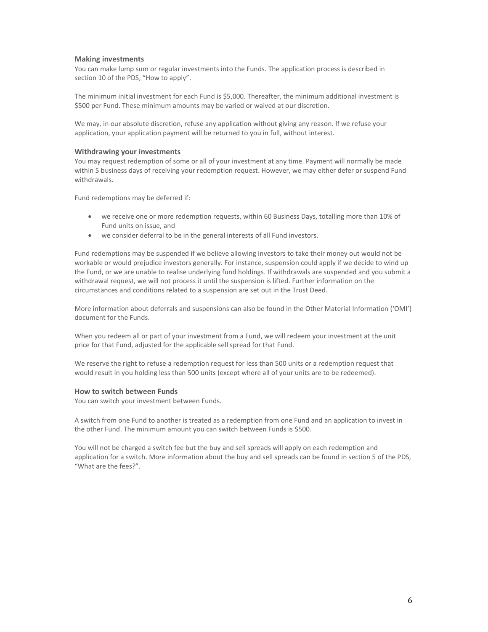#### Making investments

You can make lump sum or regular investments into the Funds. The application process is described in section 10 of the PDS, "How to apply".

The minimum initial investment for each Fund is \$5,000. Thereafter, the minimum additional investment is \$500 per Fund. These minimum amounts may be varied or waived at our discretion.

We may, in our absolute discretion, refuse any application without giving any reason. If we refuse your application, your application payment will be returned to you in full, without interest.

#### Withdrawing your investments

You may request redemption of some or all of your investment at any time. Payment will normally be made within 5 business days of receiving your redemption request. However, we may either defer or suspend Fund withdrawals.

Fund redemptions may be deferred if:

- we receive one or more redemption requests, within 60 Business Days, totalling more than 10% of Fund units on issue, and
- we consider deferral to be in the general interests of all Fund investors.

Fund redemptions may be suspended if we believe allowing investors to take their money out would not be workable or would prejudice investors generally. For instance, suspension could apply if we decide to wind up the Fund, or we are unable to realise underlying fund holdings. If withdrawals are suspended and you submit a withdrawal request, we will not process it until the suspension is lifted. Further information on the circumstances and conditions related to a suspension are set out in the Trust Deed.

More information about deferrals and suspensions can also be found in the Other Material Information ('OMI') document for the Funds.

When you redeem all or part of your investment from a Fund, we will redeem your investment at the unit price for that Fund, adjusted for the applicable sell spread for that Fund.

We reserve the right to refuse a redemption request for less than 500 units or a redemption request that would result in you holding less than 500 units (except where all of your units are to be redeemed).

#### How to switch between Funds

You can switch your investment between Funds.

A switch from one Fund to another is treated as a redemption from one Fund and an application to invest in the other Fund. The minimum amount you can switch between Funds is \$500.

You will not be charged a switch fee but the buy and sell spreads will apply on each redemption and application for a switch. More information about the buy and sell spreads can be found in section 5 of the PDS, "What are the fees?".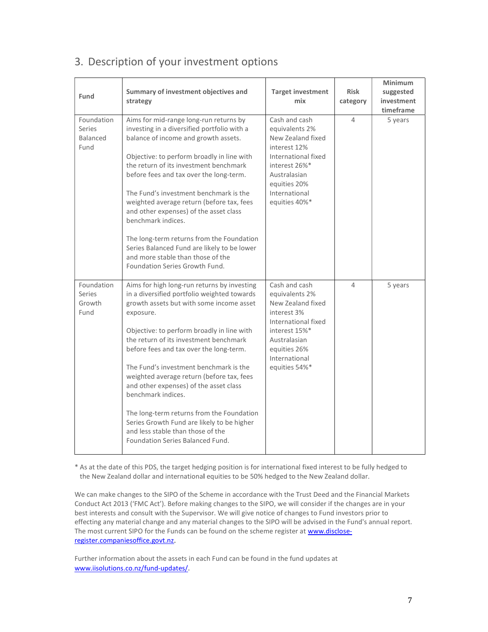| Fund                                     | Summary of investment objectives and<br>strategy                                                                                                                                                                                                                                                                                                                                                                                                                                                                                                                                                                  | <b>Target investment</b><br>mix                                                                                                                                                | <b>Risk</b><br>category | <b>Minimum</b><br>suggested<br>investment<br>timeframe |
|------------------------------------------|-------------------------------------------------------------------------------------------------------------------------------------------------------------------------------------------------------------------------------------------------------------------------------------------------------------------------------------------------------------------------------------------------------------------------------------------------------------------------------------------------------------------------------------------------------------------------------------------------------------------|--------------------------------------------------------------------------------------------------------------------------------------------------------------------------------|-------------------------|--------------------------------------------------------|
| Foundation<br>Series<br>Balanced<br>Fund | Aims for mid-range long-run returns by<br>investing in a diversified portfolio with a<br>balance of income and growth assets.<br>Objective: to perform broadly in line with<br>the return of its investment benchmark<br>before fees and tax over the long-term.<br>The Fund's investment benchmark is the<br>weighted average return (before tax, fees<br>and other expenses) of the asset class<br>benchmark indices.<br>The long-term returns from the Foundation<br>Series Balanced Fund are likely to be lower<br>and more stable than those of the<br>Foundation Series Growth Fund.                        | Cash and cash<br>equivalents 2%<br>New Zealand fixed<br>interest 12%<br>International fixed<br>interest 26%*<br>Australasian<br>equities 20%<br>International<br>equities 40%* | $\Delta$                | 5 years                                                |
| Foundation<br>Series<br>Growth<br>Fund   | Aims for high long-run returns by investing<br>in a diversified portfolio weighted towards<br>growth assets but with some income asset<br>exposure.<br>Objective: to perform broadly in line with<br>the return of its investment benchmark<br>before fees and tax over the long-term.<br>The Fund's investment benchmark is the<br>weighted average return (before tax, fees<br>and other expenses) of the asset class<br>benchmark indices.<br>The long-term returns from the Foundation<br>Series Growth Fund are likely to be higher<br>and less stable than those of the<br>Foundation Series Balanced Fund. | Cash and cash<br>equivalents 2%<br>New Zealand fixed<br>interest 3%<br>International fixed<br>interest 15%*<br>Australasian<br>equities 26%<br>International<br>equities 54%*  | 4                       | 5 years                                                |

# 3. Description of your investment options

\* As at the date of this PDS, the target hedging position is for international fixed interest to be fully hedged to the New Zealand dollar and international equities to be 50% hedged to the New Zealand dollar.

We can make changes to the SIPO of the Scheme in accordance with the Trust Deed and the Financial Markets Conduct Act 2013 ('FMC Act'). Before making changes to the SIPO, we will consider if the changes are in your best interests and consult with the Supervisor. We will give notice of changes to Fund investors prior to effecting any material change and any material changes to the SIPO will be advised in the Fund's annual report. The most current SIPO for the Funds can be found on the scheme register at www.discloseregister.companiesoffice.govt.nz.

Further information about the assets in each Fund can be found in the fund updates at www.iisolutions.co.nz/fund-updates/.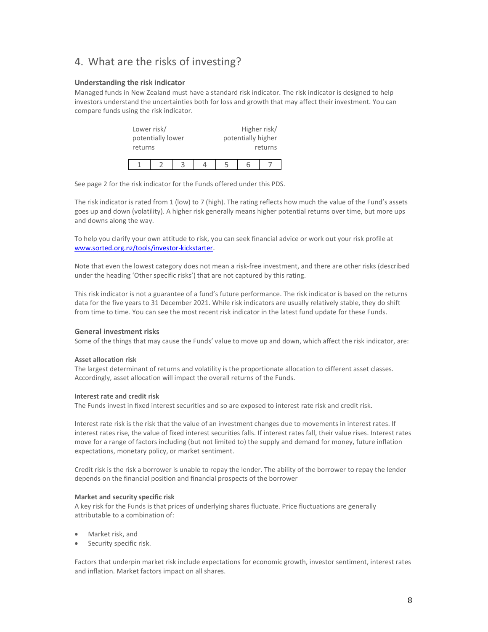### 4. What are the risks of investing?

#### Understanding the risk indicator

Managed funds in New Zealand must have a standard risk indicator. The risk indicator is designed to help investors understand the uncertainties both for loss and growth that may affect their investment. You can compare funds using the risk indicator.

| Lower risk/       |  |  |  |                    | Higher risk/ |
|-------------------|--|--|--|--------------------|--------------|
| potentially lower |  |  |  | potentially higher |              |
| returns           |  |  |  | returns            |              |
|                   |  |  |  |                    |              |
|                   |  |  |  |                    |              |

See page 2 for the risk indicator for the Funds offered under this PDS.

The risk indicator is rated from 1 (low) to 7 (high). The rating reflects how much the value of the Fund's assets goes up and down (volatility). A higher risk generally means higher potential returns over time, but more ups and downs along the way.

To help you clarify your own attitude to risk, you can seek financial advice or work out your risk profile at www.sorted.org.nz/tools/investor-kickstarter.

Note that even the lowest category does not mean a risk-free investment, and there are other risks (described under the heading 'Other specific risks') that are not captured by this rating.

This risk indicator is not a guarantee of a fund's future performance. The risk indicator is based on the returns data for the five years to 31 December 2021. While risk indicators are usually relatively stable, they do shift from time to time. You can see the most recent risk indicator in the latest fund update for these Funds.

#### General investment risks

Some of the things that may cause the Funds' value to move up and down, which affect the risk indicator, are:

#### Asset allocation risk

The largest determinant of returns and volatility is the proportionate allocation to different asset classes. Accordingly, asset allocation will impact the overall returns of the Funds.

#### Interest rate and credit risk

The Funds invest in fixed interest securities and so are exposed to interest rate risk and credit risk.

Interest rate risk is the risk that the value of an investment changes due to movements in interest rates. If interest rates rise, the value of fixed interest securities falls. If interest rates fall, their value rises. Interest rates move for a range of factors including (but not limited to) the supply and demand for money, future inflation expectations, monetary policy, or market sentiment.

Credit risk is the risk a borrower is unable to repay the lender. The ability of the borrower to repay the lender depends on the financial position and financial prospects of the borrower

#### Market and security specific risk

A key risk for the Funds is that prices of underlying shares fluctuate. Price fluctuations are generally attributable to a combination of:

- Market risk, and
- Security specific risk.

Factors that underpin market risk include expectations for economic growth, investor sentiment, interest rates and inflation. Market factors impact on all shares.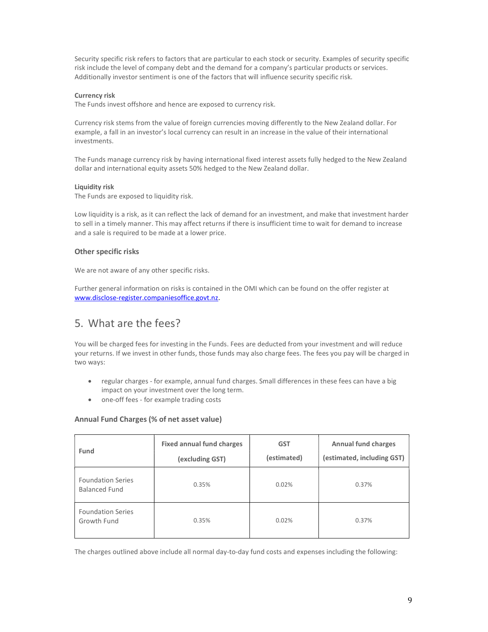Security specific risk refers to factors that are particular to each stock or security. Examples of security specific risk include the level of company debt and the demand for a company's particular products or services. Additionally investor sentiment is one of the factors that will influence security specific risk.

#### Currency risk

The Funds invest offshore and hence are exposed to currency risk.

Currency risk stems from the value of foreign currencies moving differently to the New Zealand dollar. For example, a fall in an investor's local currency can result in an increase in the value of their international investments.

The Funds manage currency risk by having international fixed interest assets fully hedged to the New Zealand dollar and international equity assets 50% hedged to the New Zealand dollar.

#### Liquidity risk

The Funds are exposed to liquidity risk.

Low liquidity is a risk, as it can reflect the lack of demand for an investment, and make that investment harder to sell in a timely manner. This may affect returns if there is insufficient time to wait for demand to increase and a sale is required to be made at a lower price.

#### Other specific risks

We are not aware of any other specific risks.

Further general information on risks is contained in the OMI which can be found on the offer register at www.disclose-register.companiesoffice.govt.nz.

### 5. What are the fees?

You will be charged fees for investing in the Funds. Fees are deducted from your investment and will reduce your returns. If we invest in other funds, those funds may also charge fees. The fees you pay will be charged in two ways:

- regular charges for example, annual fund charges. Small differences in these fees can have a big impact on your investment over the long term.
- one-off fees for example trading costs

#### Annual Fund Charges (% of net asset value)

| Fund                                             | <b>Fixed annual fund charges</b><br>(excluding GST) | <b>GST</b><br>(estimated) | <b>Annual fund charges</b><br>(estimated, including GST) |
|--------------------------------------------------|-----------------------------------------------------|---------------------------|----------------------------------------------------------|
| <b>Foundation Series</b><br><b>Balanced Fund</b> | 0.35%                                               | 0.02%                     | 0.37%                                                    |
| <b>Foundation Series</b><br>Growth Fund          | 0.35%                                               | 0.02%                     | 0.37%                                                    |

The charges outlined above include all normal day-to-day fund costs and expenses including the following: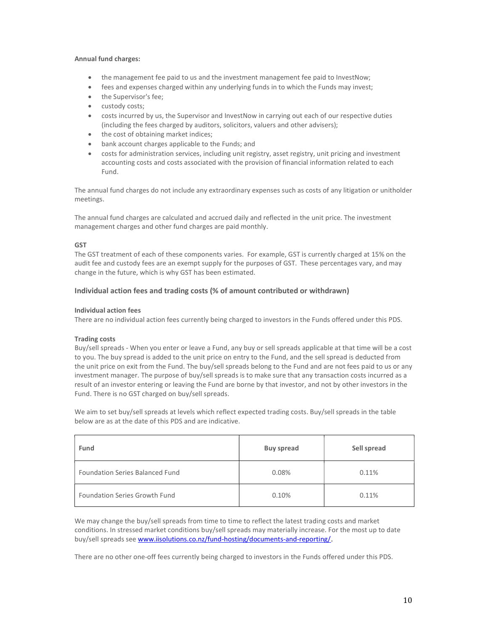#### Annual fund charges:

- the management fee paid to us and the investment management fee paid to InvestNow;
- fees and expenses charged within any underlying funds in to which the Funds may invest;
- the Supervisor's fee;
- custody costs;
- costs incurred by us, the Supervisor and InvestNow in carrying out each of our respective duties (including the fees charged by auditors, solicitors, valuers and other advisers);
- the cost of obtaining market indices;
- bank account charges applicable to the Funds; and
- costs for administration services, including unit registry, asset registry, unit pricing and investment accounting costs and costs associated with the provision of financial information related to each Fund.

The annual fund charges do not include any extraordinary expenses such as costs of any litigation or unitholder meetings.

The annual fund charges are calculated and accrued daily and reflected in the unit price. The investment management charges and other fund charges are paid monthly.

#### GST

The GST treatment of each of these components varies. For example, GST is currently charged at 15% on the audit fee and custody fees are an exempt supply for the purposes of GST. These percentages vary, and may change in the future, which is why GST has been estimated.

#### Individual action fees and trading costs (% of amount contributed or withdrawn)

#### Individual action fees

There are no individual action fees currently being charged to investors in the Funds offered under this PDS.

#### Trading costs

Buy/sell spreads - When you enter or leave a Fund, any buy or sell spreads applicable at that time will be a cost to you. The buy spread is added to the unit price on entry to the Fund, and the sell spread is deducted from the unit price on exit from the Fund. The buy/sell spreads belong to the Fund and are not fees paid to us or any investment manager. The purpose of buy/sell spreads is to make sure that any transaction costs incurred as a result of an investor entering or leaving the Fund are borne by that investor, and not by other investors in the Fund. There is no GST charged on buy/sell spreads.

We aim to set buy/sell spreads at levels which reflect expected trading costs. Buy/sell spreads in the table below are as at the date of this PDS and are indicative.

| Fund                                   | <b>Buy spread</b> | Sell spread |
|----------------------------------------|-------------------|-------------|
| <b>Foundation Series Balanced Fund</b> | 0.08%             | 0.11%       |
| Foundation Series Growth Fund          | 0.10%             | 0.11%       |

We may change the buy/sell spreads from time to time to reflect the latest trading costs and market conditions. In stressed market conditions buy/sell spreads may materially increase. For the most up to date buy/sell spreads see www.iisolutions.co.nz/fund-hosting/documents-and-reporting/.

There are no other one-off fees currently being charged to investors in the Funds offered under this PDS.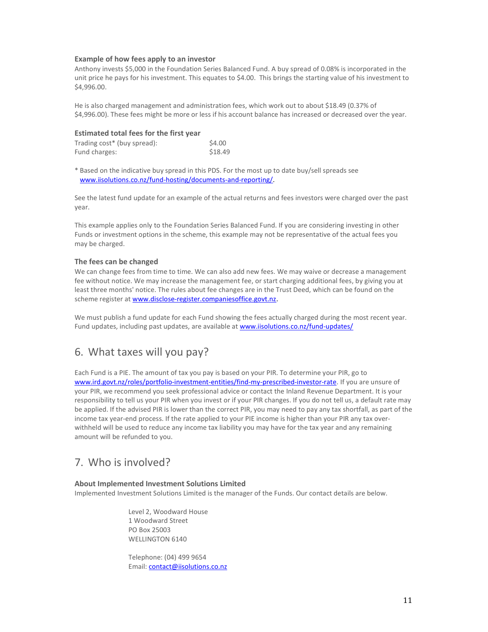#### Example of how fees apply to an investor

Anthony invests \$5,000 in the Foundation Series Balanced Fund. A buy spread of 0.08% is incorporated in the unit price he pays for his investment. This equates to \$4.00. This brings the starting value of his investment to \$4,996.00.

He is also charged management and administration fees, which work out to about \$18.49 (0.37% of \$4,996.00). These fees might be more or less if his account balance has increased or decreased over the year.

#### Estimated total fees for the first year

| Trading cost* (buy spread): | \$4.00  |
|-----------------------------|---------|
| Fund charges:               | \$18.49 |

\* Based on the indicative buy spread in this PDS. For the most up to date buy/sell spreads see www.iisolutions.co.nz/fund-hosting/documents-and-reporting/.

See the latest fund update for an example of the actual returns and fees investors were charged over the past year.

This example applies only to the Foundation Series Balanced Fund. If you are considering investing in other Funds or investment options in the scheme, this example may not be representative of the actual fees you may be charged.

#### The fees can be changed

We can change fees from time to time. We can also add new fees. We may waive or decrease a management fee without notice. We may increase the management fee, or start charging additional fees, by giving you at least three months' notice. The rules about fee changes are in the Trust Deed, which can be found on the scheme register at www.disclose-register.companiesoffice.govt.nz.

We must publish a fund update for each Fund showing the fees actually charged during the most recent year. Fund updates, including past updates, are available at www.iisolutions.co.nz/fund-updates/

### 6. What taxes will you pay?

Each Fund is a PIE. The amount of tax you pay is based on your PIR. To determine your PIR, go to www.ird.govt.nz/roles/portfolio-investment-entities/find-my-prescribed-investor-rate. If you are unsure of your PIR, we recommend you seek professional advice or contact the Inland Revenue Department. It is your responsibility to tell us your PIR when you invest or if your PIR changes. If you do not tell us, a default rate may be applied. If the advised PIR is lower than the correct PIR, you may need to pay any tax shortfall, as part of the income tax year-end process. If the rate applied to your PIE income is higher than your PIR any tax overwithheld will be used to reduce any income tax liability you may have for the tax year and any remaining amount will be refunded to you.

### 7. Who is involved?

#### About Implemented Investment Solutions Limited

Implemented Investment Solutions Limited is the manager of the Funds. Our contact details are below.

Level 2, Woodward House 1 Woodward Street PO Box 25003 WELLINGTON 6140

Telephone: (04) 499 9654 Email: contact@iisolutions.co.nz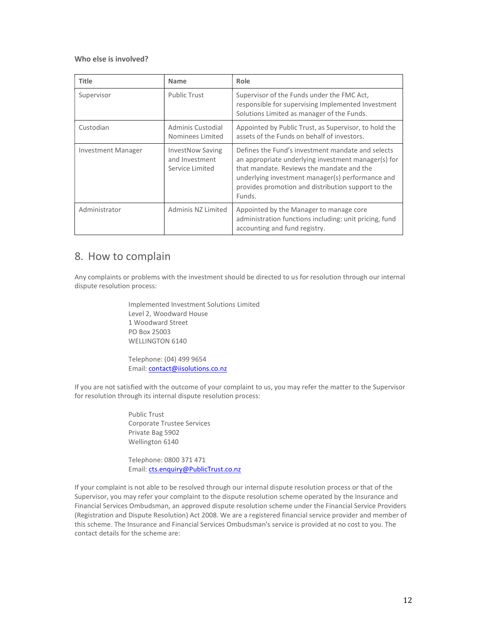#### Who else is involved?

| <b>Title</b>       | <b>Name</b>                                                  | Role                                                                                                                                                                                                                                                                      |
|--------------------|--------------------------------------------------------------|---------------------------------------------------------------------------------------------------------------------------------------------------------------------------------------------------------------------------------------------------------------------------|
| Supervisor         | <b>Public Trust</b>                                          | Supervisor of the Funds under the FMC Act,<br>responsible for supervising Implemented Investment<br>Solutions Limited as manager of the Funds.                                                                                                                            |
| Custodian          | Adminis Custodial<br>Nominees Limited                        | Appointed by Public Trust, as Supervisor, to hold the<br>assets of the Funds on behalf of investors.                                                                                                                                                                      |
| Investment Manager | <b>InvestNow Saving</b><br>and Investment<br>Service Limited | Defines the Fund's investment mandate and selects<br>an appropriate underlying investment manager(s) for<br>that mandate. Reviews the mandate and the<br>underlying investment manager(s) performance and<br>provides promotion and distribution support to the<br>Funds. |
| Administrator      | Adminis NZ Limited                                           | Appointed by the Manager to manage core<br>administration functions including: unit pricing, fund<br>accounting and fund registry.                                                                                                                                        |

### 8. How to complain

Any complaints or problems with the investment should be directed to us for resolution through our internal dispute resolution process:

> Implemented Investment Solutions Limited Level 2, Woodward House 1 Woodward Street PO Box 25003 WELLINGTON 6140

Telephone: (04) 499 9654 Email: contact@iisolutions.co.nz

If you are not satisfied with the outcome of your complaint to us, you may refer the matter to the Supervisor for resolution through its internal dispute resolution process:

> Public Trust Corporate Trustee Services Private Bag 5902 Wellington 6140

Telephone: 0800 371 471 Email: cts.enquiry@PublicTrust.co.nz

If your complaint is not able to be resolved through our internal dispute resolution process or that of the Supervisor, you may refer your complaint to the dispute resolution scheme operated by the Insurance and Financial Services Ombudsman, an approved dispute resolution scheme under the Financial Service Providers (Registration and Dispute Resolution) Act 2008. We are a registered financial service provider and member of this scheme. The Insurance and Financial Services Ombudsman's service is provided at no cost to you. The contact details for the scheme are: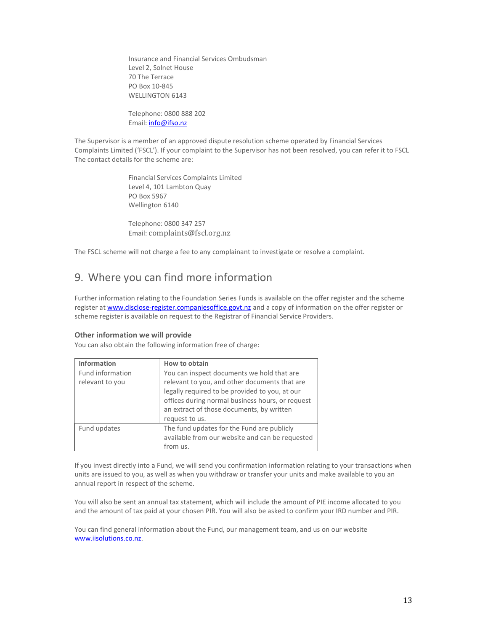Insurance and Financial Services Ombudsman Level 2, Solnet House 70 The Terrace PO Box 10-845 WELLINGTON 6143

Telephone: 0800 888 202 Email: *info@ifso.nz* 

The Supervisor is a member of an approved dispute resolution scheme operated by Financial Services Complaints Limited ('FSCL'). If your complaint to the Supervisor has not been resolved, you can refer it to FSCL The contact details for the scheme are:

> Financial Services Complaints Limited Level 4, 101 Lambton Quay PO Box 5967 Wellington 6140

Telephone: 0800 347 257 Email: complaints@fscl.org.nz

The FSCL scheme will not charge a fee to any complainant to investigate or resolve a complaint.

### 9. Where you can find more information

Further information relating to the Foundation Series Funds is available on the offer register and the scheme register at www.disclose-register.companiesoffice.govt.nz and a copy of information on the offer register or scheme register is available on request to the Registrar of Financial Service Providers.

#### Other information we will provide

You can also obtain the following information free of charge:

| <b>Information</b> | How to obtain                                    |
|--------------------|--------------------------------------------------|
| Fund information   | You can inspect documents we hold that are       |
| relevant to you    | relevant to you, and other documents that are    |
|                    | legally required to be provided to you, at our   |
|                    | offices during normal business hours, or request |
|                    | an extract of those documents, by written        |
|                    | request to us.                                   |
| Fund updates       | The fund updates for the Fund are publicly       |
|                    | available from our website and can be requested  |
|                    | from us.                                         |

If you invest directly into a Fund, we will send you confirmation information relating to your transactions when units are issued to you, as well as when you withdraw or transfer your units and make available to you an annual report in respect of the scheme.

You will also be sent an annual tax statement, which will include the amount of PIE income allocated to you and the amount of tax paid at your chosen PIR. You will also be asked to confirm your IRD number and PIR.

You can find general information about the Fund, our management team, and us on our website www.iisolutions.co.nz.